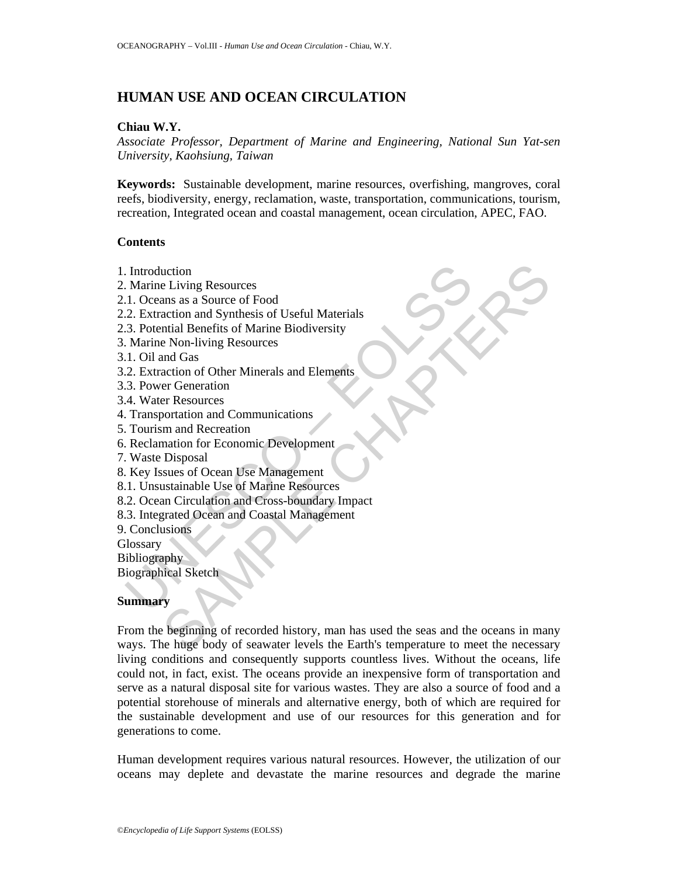# **HUMAN USE AND OCEAN CIRCULATION**

#### **Chiau W.Y.**

*Associate Professor, Department of Marine and Engineering, National Sun Yat-sen University, Kaohsiung, Taiwan* 

**Keywords:** Sustainable development, marine resources, overfishing, mangroves, coral reefs, biodiversity, energy, reclamation, waste, transportation, communications, tourism, recreation, Integrated ocean and coastal management, ocean circulation, APEC, FAO.

#### **Contents**

- 1. Introduction
- 2. Marine Living Resources
- 2.1. Oceans as a Source of Food
- 2.2. Extraction and Synthesis of Useful Materials
- 2.3. Potential Benefits of Marine Biodiversity
- 3. Marine Non-living Resources
- 3.1. Oil and Gas
- 3.2. Extraction of Other Minerals and Elements
- 3.3. Power Generation
- 3.4. Water Resources
- 4. Transportation and Communications
- 5. Tourism and Recreation
- 6. Reclamation for Economic Development
- 7. Waste Disposal
- 8. Key Issues of Ocean Use Management
- 8.1. Unsustainable Use of Marine Resources
- Introduction<br>
Marine Living Resources<br>
1. Oceans as a Source of Food<br>
2. Extraction and Synthesis of Useful Materials<br>
3. Potential Benefits of Marine Biodiversity<br>
Marine Non-living Resources<br>
1. Oil and Gas<br>
2. Extractio 8.2. Ocean Circulation and Cross-boundary Impact
- 8.3. Integrated Ocean and Coastal Management
- 9. Conclusions
- Glossary
- Bibliography
- Biographical Sketch

## **Summary**

E Living Resources<br>
Elving Resources<br>
Ensing Samma as a Source of Food<br>
action and Synthesis of Useful Materials<br>
mid Benefits of Marine Biodiversity<br>
and Gas<br>
action of Other Minerals and Elements<br>
or Generation<br>
are of G From the beginning of recorded history, man has used the seas and the oceans in many ways. The huge body of seawater levels the Earth's temperature to meet the necessary living conditions and consequently supports countless lives. Without the oceans, life could not, in fact, exist. The oceans provide an inexpensive form of transportation and serve as a natural disposal site for various wastes. They are also a source of food and a potential storehouse of minerals and alternative energy, both of which are required for the sustainable development and use of our resources for this generation and for generations to come.

Human development requires various natural resources. However, the utilization of our oceans may deplete and devastate the marine resources and degrade the marine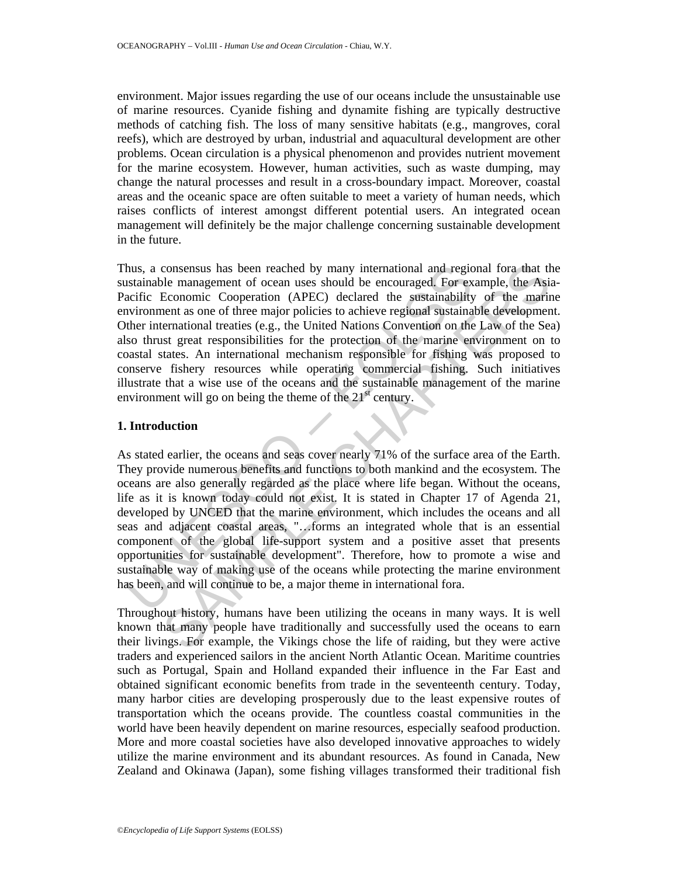environment. Major issues regarding the use of our oceans include the unsustainable use of marine resources. Cyanide fishing and dynamite fishing are typically destructive methods of catching fish. The loss of many sensitive habitats (e.g., mangroves, coral reefs), which are destroyed by urban, industrial and aquacultural development are other problems. Ocean circulation is a physical phenomenon and provides nutrient movement for the marine ecosystem. However, human activities, such as waste dumping, may change the natural processes and result in a cross-boundary impact. Moreover, coastal areas and the oceanic space are often suitable to meet a variety of human needs, which raises conflicts of interest amongst different potential users. An integrated ocean management will definitely be the major challenge concerning sustainable development in the future.

Thus, a consensus has been reached by many international and regional fora that the sustainable management of ocean uses should be encouraged. For example, the Asia-Pacific Economic Cooperation (APEC) declared the sustainability of the marine environment as one of three major policies to achieve regional sustainable development. Other international treaties (e.g., the United Nations Convention on the Law of the Sea) also thrust great responsibilities for the protection of the marine environment on to coastal states. An international mechanism responsible for fishing was proposed to conserve fishery resources while operating commercial fishing. Such initiatives illustrate that a wise use of the oceans and the sustainable management of the marine environment will go on being the theme of the  $21<sup>st</sup>$  century.

#### **1. Introduction**

hus, a consensus has been reached by many international and regic<br>statianable mangement of ocean uses should be encouraged. For executific Economic Cooperation (APEC) decleard the sustainability<br>aciric economic cooperation consensus has been reached by many international and regional fora that the consumers of occan uses should be encouraged. For example, the Asia Economic Cooperation (APEC) declared the sustainability of the marinent as on As stated earlier, the oceans and seas cover nearly 71% of the surface area of the Earth. They provide numerous benefits and functions to both mankind and the ecosystem. The oceans are also generally regarded as the place where life began. Without the oceans, life as it is known today could not exist. It is stated in Chapter 17 of Agenda 21, developed by UNCED that the marine environment, which includes the oceans and all seas and adjacent coastal areas, "…forms an integrated whole that is an essential component of the global life-support system and a positive asset that presents opportunities for sustainable development". Therefore, how to promote a wise and sustainable way of making use of the oceans while protecting the marine environment has been, and will continue to be, a major theme in international fora.

Throughout history, humans have been utilizing the oceans in many ways. It is well known that many people have traditionally and successfully used the oceans to earn their livings. For example, the Vikings chose the life of raiding, but they were active traders and experienced sailors in the ancient North Atlantic Ocean. Maritime countries such as Portugal, Spain and Holland expanded their influence in the Far East and obtained significant economic benefits from trade in the seventeenth century. Today, many harbor cities are developing prosperously due to the least expensive routes of transportation which the oceans provide. The countless coastal communities in the world have been heavily dependent on marine resources, especially seafood production. More and more coastal societies have also developed innovative approaches to widely utilize the marine environment and its abundant resources. As found in Canada, New Zealand and Okinawa (Japan), some fishing villages transformed their traditional fish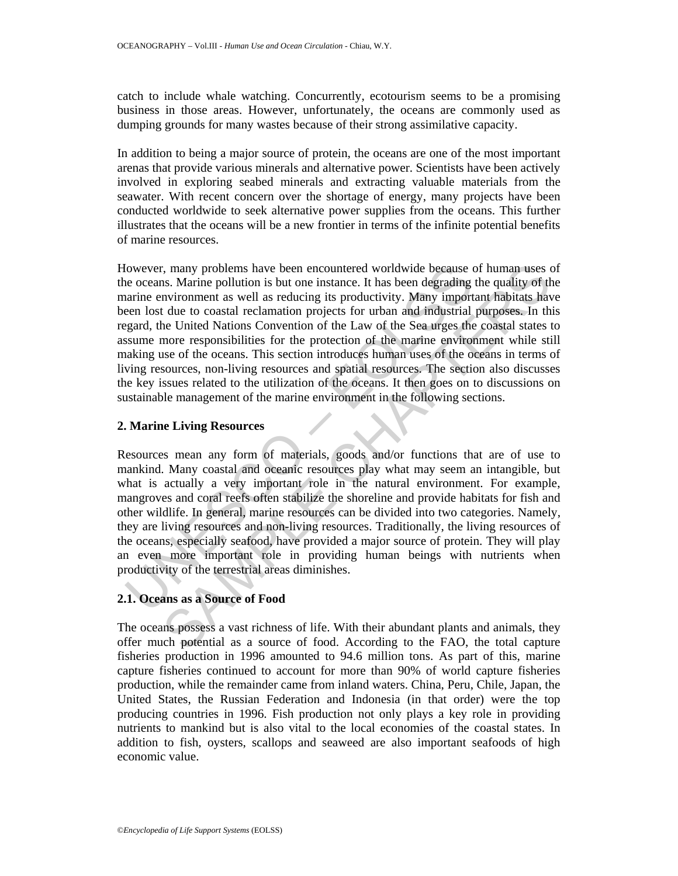catch to include whale watching. Concurrently, ecotourism seems to be a promising business in those areas. However, unfortunately, the oceans are commonly used as dumping grounds for many wastes because of their strong assimilative capacity.

In addition to being a major source of protein, the oceans are one of the most important arenas that provide various minerals and alternative power. Scientists have been actively involved in exploring seabed minerals and extracting valuable materials from the seawater. With recent concern over the shortage of energy, many projects have been conducted worldwide to seek alternative power supplies from the oceans. This further illustrates that the oceans will be a new frontier in terms of the infinite potential benefits of marine resources.

lowever, many problems have been encountered worldwide because of cocans. Marine pollution is but one instance. It has been degrading trainene environment as well as reducing its productivity. Many importment as element lo :, many problems have been encountered worldwide because of human uses is. Marine pollution is but one instance. It has been degrading the quality of the sind in viore instance. It has been degrading the quality of the smo However, many problems have been encountered worldwide because of human uses of the oceans. Marine pollution is but one instance. It has been degrading the quality of the marine environment as well as reducing its productivity. Many important habitats have been lost due to coastal reclamation projects for urban and industrial purposes. In this regard, the United Nations Convention of the Law of the Sea urges the coastal states to assume more responsibilities for the protection of the marine environment while still making use of the oceans. This section introduces human uses of the oceans in terms of living resources, non-living resources and spatial resources. The section also discusses the key issues related to the utilization of the oceans. It then goes on to discussions on sustainable management of the marine environment in the following sections.

## **2. Marine Living Resources**

Resources mean any form of materials, goods and/or functions that are of use to mankind. Many coastal and oceanic resources play what may seem an intangible, but what is actually a very important role in the natural environment. For example, mangroves and coral reefs often stabilize the shoreline and provide habitats for fish and other wildlife. In general, marine resources can be divided into two categories. Namely, they are living resources and non-living resources. Traditionally, the living resources of the oceans, especially seafood, have provided a major source of protein. They will play an even more important role in providing human beings with nutrients when productivity of the terrestrial areas diminishes.

## **2.1. Oceans as a Source of Food**

The oceans possess a vast richness of life. With their abundant plants and animals, they offer much potential as a source of food. According to the FAO, the total capture fisheries production in 1996 amounted to 94.6 million tons. As part of this, marine capture fisheries continued to account for more than 90% of world capture fisheries production, while the remainder came from inland waters. China, Peru, Chile, Japan, the United States, the Russian Federation and Indonesia (in that order) were the top producing countries in 1996. Fish production not only plays a key role in providing nutrients to mankind but is also vital to the local economies of the coastal states. In addition to fish, oysters, scallops and seaweed are also important seafoods of high economic value.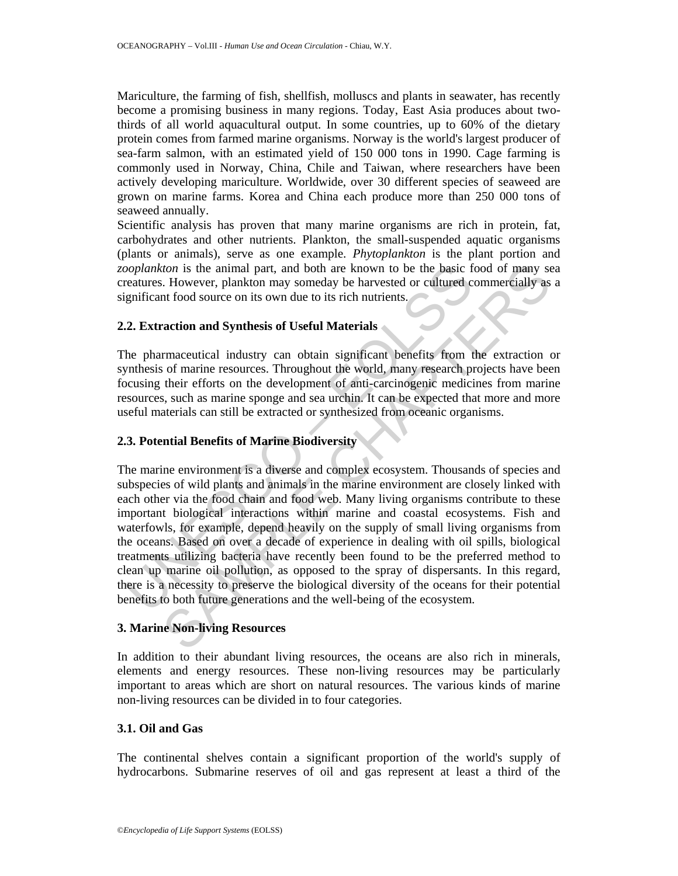Mariculture, the farming of fish, shellfish, molluscs and plants in seawater, has recently become a promising business in many regions. Today, East Asia produces about twothirds of all world aquacultural output. In some countries, up to 60% of the dietary protein comes from farmed marine organisms. Norway is the world's largest producer of sea-farm salmon, with an estimated yield of 150 000 tons in 1990. Cage farming is commonly used in Norway, China, Chile and Taiwan, where researchers have been actively developing mariculture. Worldwide, over 30 different species of seaweed are grown on marine farms. Korea and China each produce more than 250 000 tons of seaweed annually.

Scientific analysis has proven that many marine organisms are rich in protein, fat, carbohydrates and other nutrients. Plankton, the small-suspended aquatic organisms (plants or animals), serve as one example. *Phytoplankton* is the plant portion and *zooplankton* is the animal part, and both are known to be the basic food of many sea creatures. However, plankton may someday be harvested or cultured commercially as a significant food source on its own due to its rich nutrients.

## **2.2. Extraction and Synthesis of Useful Materials**

The pharmaceutical industry can obtain significant benefits from the extraction or synthesis of marine resources. Throughout the world, many research projects have been focusing their efforts on the development of anti-carcinogenic medicines from marine resources, such as marine sponge and sea urchin. It can be expected that more and more useful materials can still be extracted or synthesized from oceanic organisms.

## **2.3. Potential Benefits of Marine Biodiversity**

Soplankton is the animal part, and both are known to be the basic freatures. However, plankton may someday be harvested or cultured c gnificant food source on its own due to its rich nutrients.<br>
2. Extraction and Synthesis Comparison is the animal part, and both are known to be the basic food of many so the Mowever, plankton may someday be harvested or cultured commercially as at food source on its own due to its rich nutrients.<br> **And the ac** The marine environment is a diverse and complex ecosystem. Thousands of species and subspecies of wild plants and animals in the marine environment are closely linked with each other via the food chain and food web. Many living organisms contribute to these important biological interactions within marine and coastal ecosystems. Fish and waterfowls, for example, depend heavily on the supply of small living organisms from the oceans. Based on over a decade of experience in dealing with oil spills, biological treatments utilizing bacteria have recently been found to be the preferred method to clean up marine oil pollution, as opposed to the spray of dispersants. In this regard, there is a necessity to preserve the biological diversity of the oceans for their potential benefits to both future generations and the well-being of the ecosystem.

## **3. Marine Non-living Resources**

In addition to their abundant living resources, the oceans are also rich in minerals, elements and energy resources. These non-living resources may be particularly important to areas which are short on natural resources. The various kinds of marine non-living resources can be divided in to four categories.

## **3.1. Oil and Gas**

The continental shelves contain a significant proportion of the world's supply of hydrocarbons. Submarine reserves of oil and gas represent at least a third of the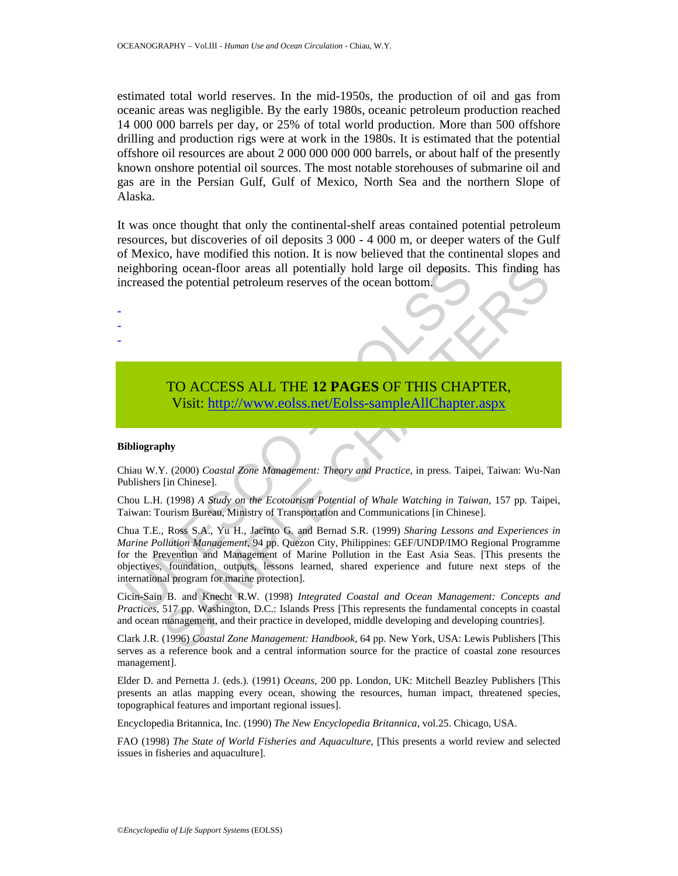estimated total world reserves. In the mid-1950s, the production of oil and gas from oceanic areas was negligible. By the early 1980s, oceanic petroleum production reached 14 000 000 barrels per day, or 25% of total world production. More than 500 offshore drilling and production rigs were at work in the 1980s. It is estimated that the potential offshore oil resources are about 2 000 000 000 000 barrels, or about half of the presently known onshore potential oil sources. The most notable storehouses of submarine oil and gas are in the Persian Gulf, Gulf of Mexico, North Sea and the northern Slope of Alaska.

It was once thought that only the continental-shelf areas contained potential petroleum resources, but discoveries of oil deposits 3 000 - 4 000 m, or deeper waters of the Gulf of Mexico, have modified this notion. It is now believed that the continental slopes and neighboring ocean-floor areas all potentially hold large oil deposits. This finding has increased the potential petroleum reserves of the ocean bottom.

# TO ACCESS ALL THE **12 PAGES** OF THIS CHAPTER, Visit: http://www.eolss.net/Eolss-sampleAllChapter.aspx

#### **Bibliography**

- - -

Chiau W.Y. (2000) *Coastal Zone Management: Theory and Practice*, in press. Taipei, Taiwan: Wu-Nan Publishers [in Chinese].

Chou L.H. (1998) *A Study on the Ecotourism Potential of Whale Watching in Taiwan,* 157 pp. Taipei, Taiwan: Tourism Bureau, Ministry of Transportation and Communications [in Chinese].

eighboring ocean-floor areas all potentially hold large oil deposits.<br>
Icreased the potential petroleum reserves of the ocean bottom.<br>
TO ACCESS ALL THE 12 PAGES OF THIS CHA<br>
Visit: http://www.colss.net/Eolss-sampleAllChap ing ocean-floor areas all potentially hold large oil deposits. This finding has<br>the potential petroleum reserves of the ocean bottom.<br>
TO ACCESS ALL THE 12 PAGES OF THIS CH[AP](https://www.eolss.net/ebooklib/sc_cart.aspx?File=E6-18-07-01)TER,<br>
Visit: http://www.eolss.net/Eolss-sample.A Chua T.E., Ross S.A., Yu H., Jacinto G. and Bernad S.R. (1999) *Sharing Lessons and Experiences in Marine Pollution Management,* 94 pp. Quezon City, Philippines: GEF/UNDP/IMO Regional Programme for the Prevention and Management of Marine Pollution in the East Asia Seas. [This presents the objectives, foundation, outputs, lessons learned, shared experience and future next steps of the international program for marine protection].

Cicin-Sain B. and Knecht R.W. (1998) *Integrated Coastal and Ocean Management: Concepts and Practices,* 517 pp. Washington, D.C.: Islands Press [This represents the fundamental concepts in coastal and ocean management, and their practice in developed, middle developing and developing countries].

Clark J.R. (1996) *Coastal Zone Management: Handbook*, 64 pp. New York, USA: Lewis Publishers [This serves as a reference book and a central information source for the practice of coastal zone resources management].

Elder D. and Pernetta J. (eds.). (1991) *Oceans,* 200 pp. London, UK: Mitchell Beazley Publishers [This presents an atlas mapping every ocean, showing the resources, human impact, threatened species, topographical features and important regional issues].

Encyclopedia Britannica, Inc. (1990) *The New Encyclopedia Britannica*, vol.25. Chicago, USA.

FAO (1998) *The State of World Fisheries and Aquaculture,* [This presents a world review and selected issues in fisheries and aquaculture].